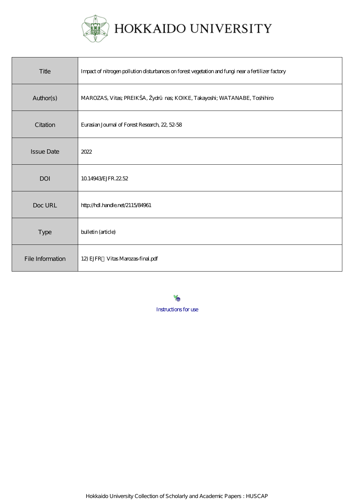

| Title             | Impact of nitrogen pollution disturbances on forest vegetation and fungi near a fertilizer factory |
|-------------------|----------------------------------------------------------------------------------------------------|
| Author(s)         | MAROZAS, Vitas; PREIKŠA, Žydr nas; KOIKE, Takayoshi; WATANABE, Toshihiro                           |
| Citation          | Eurasian Journal of Forest Research, 22, 52-58                                                     |
| <b>Issue Date</b> | 2022                                                                                               |
| <b>DOI</b>        | 10.14943 EJFR, 22.52                                                                               |
| Doc URL           | http://hdl.handle.net/2115/84961                                                                   |
| <b>Type</b>       | bulletin (article)                                                                                 |
| File Information  | 12) EJFR Vitas Marozas-final.pdf                                                                   |

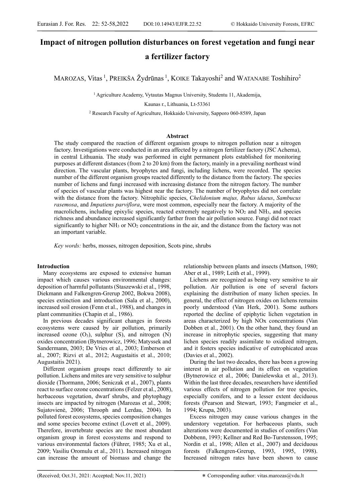# **Impact of nitrogen pollution disturbances on forest vegetation and fungi near a fertilizer factory**

MAROZAS, Vitas <sup>1</sup>, PREIKŠA Žydrūnas <sup>1</sup>, KOIKE Takayoshi<sup>2</sup> and WATANABE Toshihiro<sup>2</sup>

1 Agriculture Academy, Vytautas Magnus University, Studentu 11, Akademija,

Kaunas r., Lithuania, Lt-53361

2 Research Faculty of Agriculture, Hokkaido University, Sapporo 060-8589, Japan

## **Abstract**

The study compared the reaction of different organism groups to nitrogen pollution near a nitrogen factory. Investigations were conducted in an area affected by a nitrogen fertilizer factory (JSC Achema), in central Lithuania. The study was performed in eight permanent plots established for monitoring purposes at different distances (from 2 to 20 km) from the factory, mainly in a prevailing northeast wind direction. The vascular plants, bryophytes and fungi, including lichens, were recorded. The species number of the different organism groups reacted differently to the distance from the factory. The species number of lichens and fungi increased with increasing distance from the nitrogen factory. The number of species of vascular plants was highest near the factory. The number of bryophytes did not correlate with the distance from the factory. Nitrophilic species, C*helidonium majus, Rubus idaeus*, *Sambucus rasemosa*, and *Impatiens parviflora*, were most common, especially near the factory. A majority of the macrolichens, including epixylic species, reacted extremely negatively to  $NO<sub>2</sub>$  and  $NH<sub>3</sub>$ , and species richness and abundance increased significantly farther from the air pollution source. Fungi did not react significantly to higher  $NH<sub>3</sub>$  or  $NO<sub>2</sub>$  concentrations in the air, and the distance from the factory was not an important variable.

*Key words:* herbs, mosses, nitrogen deposition, Scots pine, shrubs

## **Introduction**

Many ecosystems are exposed to extensive human impact which causes various environmental changes: deposition of harmful pollutants (Staszewski et al., 1998, Diekmann and Falkengren-Grerup 2002, Bokwa 2008), species extinction and introduction (Sala et al., 2000), increased soil erosion (Fenn et al., 1988), and changes in plant communities (Chapin et al., 1986).

In previous decades significant changes in forests ecosystems were caused by air pollution, primarily increased ozone  $(O_3)$ , sulphur  $(S)$ , and nitrogen  $(N)$ oxides concentration (Bytnerowicz, 1996; Matyssek and Sandermann, 2003; De Vries et al., 2003; Emberson et al., 2007; Rizvi et al., 2012; Augustaitis et al., 2010; Augustaitis 2021).

Different organism groups react differently to air pollution. Lichens and mites are very sensitive to sulphur dioxide (Thormann, 2006; Seniczak et al., 2007), plants react to surface ozone concentrations (Felzer et al., 2008), herbaceous vegetation, dwarf shrubs, and phytophagy insects are impacted by nitrogen (Marozas et al., 2008; Sujatovienė, 2006; Throoph and Lerdau, 2004). In polluted forest ecosystems, species composition changes and some species become extinct (Lovett et al., 2009). Therefore, invertebrate species are the most abundant organism group in forest ecosystems and respond to various environmental factors (Führer, 1985; Xu et al., 2009; Vasiliu Oromulu et al., 2011). Increased nitrogen can increase the amount of biomass and change the

relationship between plants and insects (Mattson, 1980; Aber et al., 1989; Leith et al., 1999).

Lichens are recognized as being very sensitive to air pollution. Air pollution is one of several factors explaining the distribution of many lichen species. In general, the effect of nitrogen oxides on lichens remains poorly understood (Van Herk, 2001). Some authors reported the decline of epiphytic lichen vegetation in areas characterized by high NOx concentrations (Van Dobben et al., 2001). On the other hand, they found an increase in nitrophytic species, suggesting that many lichen species readily assimilate to oxidized nitrogen, and it fosters species indicative of eutrophicated areas (Davies et al., 2002).

During the last two decades, there has been a growing interest in air pollution and its effect on vegetation (Bytnerowicz et al., 2006; Danielewska et al., 2013). Within the last three decades, researchers have identified various effects of nitrogen pollution for tree species, especially conifers, and to a lesser extent deciduous forests (Pearson and Stewart, 1993; Fangmeier et al., 1994; Krupa, 2003).

Excess nitrogen may cause various changes in the understory vegetation. For herbaceous plants, such alterations were documented in studies of conifers (Van Dobbenn, 1993; Kellner and Red Bo-Turstensson, 1995; Nordin et al., 1998; Allen et al., 2007) and deciduous forests (Falkengren-Grerup, 1993, 1995, 1998). Increased nitrogen rates have been shown to cause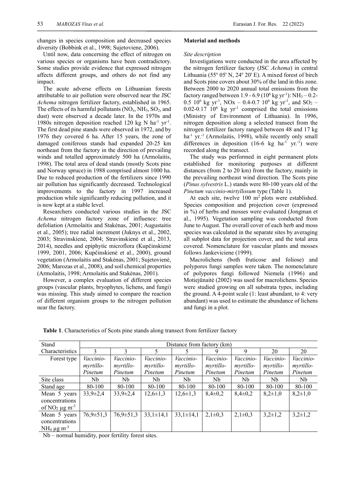changes in species composition and decreased species diversity (Bobbink et al., 1998; Sujetoviene, 2006).

Until now, data concerning the effect of nitrogen on various species or organisms have been contradictory. Some studies provide evidence that expressed nitrogen affects different groups, and others do not find any impact.

The acute adverse effects on Lithuanian forests attributable to air pollution were observed near the JSC *Achema* nitrogen fertilizer factory, established in 1965. The effects of its harmful pollutants  $(NO_x, NH_3, SO_2, and$ dust) were observed a decade later. In the 1970s and 1980s nitrogen deposition reached 120 kg N ha<sup>-1</sup> yr<sup>-1</sup>. The first dead pine stands were observed in 1972, and by 1976 they covered 6 ha. After 15 years, the zone of damaged coniferous stands had expanded 20-25 km northeast from the factory in the direction of prevailing winds and totalled approximately 500 ha (Armolaitis, 1998). The total area of dead stands (mostly Scots pine and Norway spruce) in 1988 comprised almost 1000 ha. Due to reduced production of the fertilizers since 1990 air pollution has significantly decreased. Technological improvements to the factory in 1997 increased production while significantly reducing pollution, and it is now kept at a stable level.

Researchers conducted various studies in the JSC *Achema* nitrogen factory zone of influence: tree defoliation (Armolaitis and Stakėnas, 2001; Augustaitis et al., 2005); tree radial increment (Juknys et al., 2002, 2003; Stravinskienė, 2004; Stravinskienė et al., 2013, 2014), needles and epiphytic microflora (Kupčinskienė 1999, 2001, 2006; Kupčinskienė et al., 2000), ground vegetation (Armolaitis and Stakėnas, 2001; Sujetovienė, 2006; Marozas et al., 2008), and soil chemical properties (Armolaitis, 1998; Armolaitis and Stakėnas, 2001).

However, a complex evaluation of different species groups (vascular plants, bryophytes, lichens, and fungi) was missing. This study aimed to compare the reaction of different organism groups to the nitrogen pollution near the factory.

# **Material and methods**

## *Site description*

Investigations were conducted in the area affected by the nitrogen fertilizer factory (JSC *Achema*) in central Lithuania (55° 05' N, 24° 20' E). A mixed forest of birch and Scots pine covers about 30% of the land in this zone. Between 2000 to 2020 annual total emissions from the factory ranged between 1.9 - 6.9 ( $10^6$  kg yr<sup>-1</sup>): NH<sub>3</sub> - 0.2-0.5  $10^6$  kg yr<sup>-1</sup>, NOx – 0.4-0.7  $10^6$  kg yr<sup>-1</sup>, and SO<sub>2</sub> – 0.02-0.17  $10^6$  kg yr<sup>-1</sup> comprised the total emissions (Ministry of Environment of Lithuania). In 1996, nitrogen deposition along a selected transect from the nitrogen fertilizer factory ranged between 48 and 17 kg ha<sup>-1</sup> yr.<sup>-1</sup> (Armolaitis, 1998), while recently only small differences in deposition  $(16-6 \text{ kg } \text{ha}^{-1} \text{ yr}^{-1})$  were recorded along the transect.

The study was performed in eight permanent plots established for monitoring purposes at different distances (from 2 to 20 km) from the factory, mainly in the prevailing northeast wind direction. The Scots pine (*Pinus sylvestris* L.) stands were 80-100 years old of the *Pinetum vaccinio-mirtyllosum* type (Table 1).

At each site, twelve  $100 \text{ m}^2$  plots were established. Species composition and projection cover (expressed in %) of herbs and mosses were evaluated (Jongman et al., 1995). Vegetation sampling was conducted from June to August. The overall cover of each herb and moss species was calculated in the separate sites by averaging all subplot data for projection cover, and the total area covered. Nomenclature for vascular plants and mosses follows Jankeviciene (1999).

Macrolichens (both fruticose and foliose) and polypores fungi samples were taken. The nomenclature of polypores fungi followed Niemela (1996) and Motiejūnaitė (2002) was used for macrolichens. Species were studied growing on all substrata types, including the ground. A 4-point scale (1: least abundant, to 4: very abundant) was used to estimate the abundance of lichens and fungi in a plot.

| Stand               | Distance from factory (km) |                 |                 |                  |             |             |               |               |  |
|---------------------|----------------------------|-----------------|-----------------|------------------|-------------|-------------|---------------|---------------|--|
| Characteristics     | 3                          |                 |                 |                  | 9           | 9           | 20            | 20            |  |
| Forest type         | Vaccinio-                  | Vaccinio-       | Vaccinio-       | Vaccinio-        | Vaccinio-   | Vaccinio-   | Vaccinio-     | Vaccinio-     |  |
|                     | myrtillo-                  | myrtillo-       | myrtillo-       | <i>myrtillo-</i> | myrtillo-   | myrtillo-   | myrtillo-     | myrtillo-     |  |
|                     | Pinetum                    | Pinetum         | Pinetum         | Pinetum          | Pinetum     | Pinetum     | Pinetum       | Pinetum       |  |
| Site class          | Nb                         | Nb.             | Nb              | Nb               | Nb          | Nb          | Nb            | Nb.           |  |
| Stand age           | 80-100                     | 80-100          | 80-100          | 80-100           | 80-100      | 80-100      | 80-100        | 80-100        |  |
| Mean 5 years        | $33,9 \pm 2,4$             | $33,9 \pm 2,4$  | $12,6 \pm 1,3$  | $12,6 \pm 1,3$   | $8,4\pm0,2$ | $8,4\pm0,2$ | $8,2{\pm}1,0$ | $8,2{\pm}1,0$ |  |
| concentrations      |                            |                 |                 |                  |             |             |               |               |  |
| of $NO2 \mu g m-3$  |                            |                 |                 |                  |             |             |               |               |  |
| Mean 5 years        | $76,9 \pm 51,3$            | $76,9 \pm 51,3$ | $33,1 \pm 14,1$ | $33,1 \pm 14,1$  | $2,1\pm0,3$ | $2,1\pm0,3$ | $3,2\pm1,2$   | $3,2\pm1,2$   |  |
| concentrations      |                            |                 |                 |                  |             |             |               |               |  |
| $NH_4 \mu g m^{-3}$ |                            |                 |                 |                  |             |             |               |               |  |

**Table 1**. Characteristics of Scots pine stands along transect from fertilizer factory

Nb – normal humidity, poor fertility forest sites.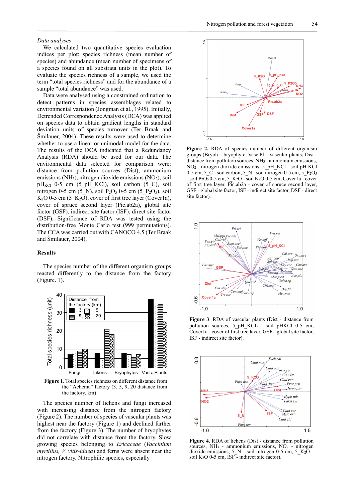#### *Data analyses*

We calculated two quantitative species evaluation indices per plot: species richness (mean number of species) and abundance (mean number of specimens of a species found on all substrata units in the plot). To evaluate the species richness of a sample, we used the term "total species richness" and for the abundance of a sample "total abundance" was used.

Data were analysed using a constrained ordination to detect patterns in species assemblages related to environmental variation (Jongman et al., 1995). Initially, Detrended Correspondence Analysis (DCA) was applied on species data to obtain gradient lengths in standard deviation units of species turnover (Ter Braak and Šmilauer, 2004). These results were used to determine whether to use a linear or unimodal model for the data. The results of the DCA indicated that a Redundancy Analysis (RDA) should be used for our data. The environmental data selected for comparison were: distance from pollution sources (Dist), ammonium emissions (NH<sub>3</sub>), nitrogen dioxide emissions (NO<sub>2</sub>), soil  $pH_{KCl}$  0-5 cm (5\_pH\_KCl), soil carbon (5\_C), soil nitrogen 0-5 cm (5\_N), soil  $P_2O_5$  0-5 cm (5\_P<sub>2</sub>O<sub>5</sub>), soil K<sub>2</sub>O 0-5 cm (5  $K_2O$ ), cover of first tree layer (Cover1a), cover of spruce second layer (Pic.ab2a), global site factor (GSF), indirect site factor (ISF), direct site factor (DSF). Significance of RDA was tested using the distribution-free Monte Carlo test (999 permutations). The CCA was carried out with CANOCO 4.5 (Ter Braak and Šmilauer, 2004).

# **Results**

The species number of the different organism groups reacted differently to the distance from the factory (Figure. 1).



**Figure 1**. Total species richness on different distance from the "Achema" factory (3, 5, 9, 20 distance from the factory, km)

The species number of lichens and fungi increased with increasing distance from the nitrogen factory (Figure 2). The number of species of vascular plants was highest near the factory (Figure 1) and declined farther from the factory (Figure 3). The number of bryophytes did not correlate with distance from the factory. Slow growing species belonging to *Ericaceae* (*Vaccinium myrtillus, V. vitis-idaea*) and ferns were absent near the nitrogen factory. Nitrophilic species, especially



**Figure 2.** RDA of species number of different organism groups (Bryoh – bryophyte, Vasc.Pl – vascular plants; Dist distance from pollution sources, NH3 - ammonium emissions, NO2 - nitrogen dioxide emissions, 5\_pH\_KCl - soil pH KCl 0-5 cm, 5\_C - soil carbon, 5\_N - soil nitrogen 0-5 cm, 5\_P<sub>2</sub>O<sub>5</sub> - soil P<sub>2</sub>O<sub>5</sub> 0-5 cm, 5\_K<sub>2</sub>O - soil K<sub>2</sub>O 0-5 cm, Cover1a - cover of first tree layer, Pic.ab2a - cover of spruce second layer, GSF - global site factor, ISF - indirect site factor, DSF - direct site factor).



**Figure 3**. RDA of vascular plants (Dist - distance from pollution sources, 5\_pH\_KCL - soil pHKCl 0-5 cm, Cover1a - cover of first tree layer, GSF - global site factor, ISF - indirect site factor).



**Figure 4.** RDA of lichens (Dist - distance from pollution sources,  $NH_3$  - ammonium emissions,  $NO_2$  - nitrogen dioxide emissions, 5\_N - soil nitrogen 0-5 cm, 5\_K2O soil K2O 0-5 cm, ISF - indirect site factor).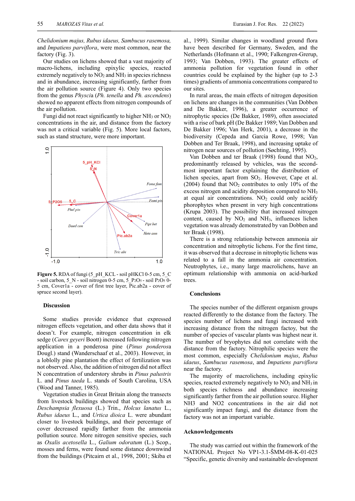*Chelidonium majus, Rubus idaeus, Sambucus rasemosa,*  and *Impatiens parviflora*, were most common, near the factory (Fig. 3).

Our studies on lichens showed that a vast majority of macro-lichens, including epixylic species, reacted extremely negatively to  $NO<sub>2</sub>$  and  $NH<sub>3</sub>$  in species richness and in abundance, increasing significantly, farther from the air pollution source (Figure 4). Only two species from the genus *Physci*a (*Ph. tenella* and *Ph. ascendens*) showed no apparent effects from nitrogen compounds of the air pollution.

Fungi did not react significantly to higher  $NH<sub>3</sub>$  or  $NO<sub>2</sub>$ concentrations in the air, and distance from the factory was not a critical variable (Fig. 5). More local factors, such as stand structure, were more important.



**Figure 5.** RDA of fungi (5\_pH\_KCL - soil pHKCl 0-5 cm, 5\_C - soil carbon, 5\_N - soil nitrogen 0-5 cm, 5\_P<sub>2</sub>O<sub>5</sub> - soil P<sub>2</sub>O<sub>5</sub> 0-5 cm, Cover1a - cover of first tree layer, Pic.ab2a - cover of spruce second layer).

## **Discussion**

Some studies provide evidence that expressed nitrogen effects vegetation, and other data shows that it doesn't. For example, nitrogen concentration in elk sedge (*Carex geyeri* Boott) increased following nitrogen application in a ponderosa pine (*Pinus ponderos*a Dougl.) stand (Wanderschaaf et al., 2003). However, in a loblolly pine plantation the effect of fertilization was not observed. Also, the addition of nitrogen did not affect N concentration of understory shrubs in *Pinus palustris* L. and *Pinus taeda* L. stands of South Carolina, USA (Wood and Tanner, 1985).

Vegetation studies in Great Britain along the transects from livestock buildings showed that species such as *Deschampsia flexuosa* (L.) Trin., *Holcus lanatus* L., *Rubus idaeus* L., and *Urtica dioica* L. were abundant closer to livestock buildings, and their percentage of cover decreased rapidly farther from the ammonia pollution source. More nitrogen sensitive species, such as *Oxalis acetosella* L., *Galium odoratum* (L.) Scop., mosses and ferns, were found some distance downwind from the buildings (Pitcairn et al., 1998, 2001; Skiba et

al., 1999). Similar changes in woodland ground flora have been described for Germany, Sweden, and the Netherlands (Hofmann et al., 1990; Falkengren-Grerup, 1993; Van Dobben, 1993). The greater effects of ammonia pollution for vegetation found in other countries could be explained by the higher (up to 2-3 times) gradients of ammonia concentrations compared to our sites.

In rural areas, the main effects of nitrogen deposition on lichens are changes in the communities (Van Dobben and De Bakker, 1996), a greater occurrence of nitrophytic species (De Bakker, 1989), often associated with a rise of bark pH (De Bakker 1989; Van Dobben and De Bakker 1996; Van Herk, 2001), a decrease in the biodiversity (Cepeda and Garcia Rowe, 1998; Van Dobben and Ter Braak, 1998), and increasing uptake of nitrogen near sources of pollution (Søchting, 1995).

Van Dobben and ter Braak (1998) found that NO<sub>2</sub>, predominantly released by vehicles, was the secondmost important factor explaining the distribution of lichen species, apart from SO2. However, Cape et al. (2004) found that  $NO<sub>2</sub>$  contributes to only 10% of the excess nitrogen and acidity deposition compared to NH3 at equal air concentrations.  $NO<sub>2</sub>$  could only acidify phorophytes when present in very high concentrations (Krupa 2003). The possibility that increased nitrogen content, caused by  $NO<sub>2</sub>$  and  $NH<sub>3</sub>$ , influences lichen vegetation was already demonstrated by van Dobben and ter Braak (1998).

There is a strong relationship between ammonia air concentration and nitrophytic lichens. For the first time, it was observed that a decrease in nitrophytic lichens was related to a fall in the ammonia air concentration. Neutrophytes, i.e., many large macrolichens, have an optimum relationship with ammonia on acid-barked trees.

## **Conclusions**

The species number of the different organism groups reacted differently to the distance from the factory. The species number of lichens and fungi increased with increasing distance from the nitrogen factoy, but the number of species of vascular plants was highest near it. The number of bryophytes did not correlate with the distance from the factory. Nitrophilic species were the most common, especially *Chelidonium majus*, *Rubus idaeus*, *Sambucus rasemosa*, and *Impatiens parviflora* near the factory.

The majority of macrolichens, including epixylic species, reacted extremely negatively to  $NO<sub>2</sub>$  and  $NH<sub>3</sub>$  in both species richness and abundance increasing significantly farther from the air pollution source. Higher NH3 and NO2 concentrations in the air did not significantly impact fungi, and the distance from the factory was not an important variable.

#### **Acknowledgements**

The study was carried out within the framework of the NATIONAL Project No VP1-3.1-ŠMM-08-K-01-025 "Specific, genetic diversity and sustainable development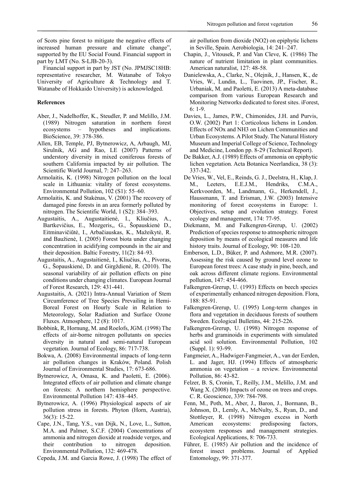of Scots pine forest to mitigate the negative effects of increased human pressure and climate change", supported by the EU Social Found. Financial support in part by LMT (No. S-LJB-20-3).

Financial support in part by JST (No. JPMJSC18HB: representative researcher, M. Watanabe of Tokyo University of Agriculture & Technology and T. Watanabe of Hokkaido University) is acknowledged.

# **References**

- Aber, J., Nadelhoffer, K., Steudler, P. and Melillo, J.M. (1989) Nitrogen saturation in northern forest ecosystems – hypotheses and implications. BioScience, 39: 378-386.
- Allen, EB, Temple, PJ, Bytnerowicz, A, Arbaugh, MJ, Sirulnik, AG and Rao, LE (2007) Patterns of understory diversity in mixed coniferous forests of southern California impacted by air pollution. The Scientific World Journal, 7: 247–263.
- Armolaitis, K. (1998) Nitrogen pollution on the local scale in Lithuania: vitality of forest ecosystems. Environmental Pollution, 102 (S1): 55–60.
- Armolaitis, K. and Stakėnas, V. (2001) The recovery of damaged pine forests in an area formerly polluted by nitrogen. The Scientific World, 1 (S2): 384–393.
- Augustaitis, A., Augustaitienė, I., Kliučius, A., Bartkevičius, E., Mozgeris,, G., Šopauskienė D., Eitminavičiūtė, I., Arbačiauskas, K., Mažeikytė, R. and Baužienė, I. (2005) Forest biota under changing concentration in acidifying compounds in the air and their deposition. Baltic Forestry, 11(2): 84–93.
- Augustaitis, A., Augustaitienė, I., Kliučius, A., Pivoras, G., Šopauskienė, D. and Girgždienė, R. (2010). The seasonal variability of air pollution effects on pine conditions under changing climates. European Journal of Forest Research, 129: 431-441.
- Augustaitis, A. (2021) Intra-Annual Variation of Stem Circumference of Tree Species Prevailing in Hemi-Boreal Forest on Hourly Scale in Relation to Meteorology, Solar Radiation and Surface Ozone Fluxes. Atmosphere, 12 (8): 1017.
- Bobbink, R, Hornung, M. and Roelofs, JGM. (1998) The effects of air-borne nitrogen pollutants on species diversity in natural and semi-natural European vegetation. Journal of Ecology, 86: 717-738.
- Bokwa, A. (2008) Environmental impacts of long-term air pollution changes in Kraków, Poland. Polish Journal of Environmental Studies, 17: 673-686.
- Bytnerowicz, A, Omasa, K. and Paoletti, E. (2006). Integrated effects of air pollution and climate change on forests: A northern hemisphere perspective. Environmental Pollution 147: 438–445.
- Bytnerowicz, A. (1996) Physiological aspects of air pollution stress in forests. Phyton (Horn, Austria), 36(3): 15-22.
- Cape, J.N., Tang, Y.S., van Dijk, N., Love, L., Sutton, M.A. and Palmer, S.C.F. (2004) Concentrations of ammonia and nitrogen dioxide at roadside verges, and their contribution to nitrogen deposition. Environmental Pollution, 132: 469-478.
- Cepeda, J.M. and Garcia Rowe, J. (1998) The effect of

air pollution from dioxide (NO2) on epiphytic lichens in Seville, Spain. Aerobiologia, 14: 241–247.

- Chapin, J., Vitousek, P. and Van Cleve, K. (1986) The nature of nutrient limitation in plant communities. American naturalist, 127: 48-58.
- Danielewska, A., Clarke, N., Olejnik, J., Hansen, K., de Vries, W., Lundin, L., Tuovinen, JP., Fischer, R., Urbaniak, M. and Paoletti, E. (2013) A meta-database comparison from various European Research and Monitoring Networks dedicated to forest sites. iForest, 6: 1-9.
- Davies, L., James, P.W., Chimonides, J.H. and Purvis, O.W. (2002) Part 1: Corticolous lichens in London. Effects of NOx and NH3 on Lichen Communities and Urban Ecosystems. A Pilot Study. The Natural History Museum and Imperial College of Science, Technology and Medicine, London pp. 8-29 (Technical Report).
- De Bakker, A.J. (1989) Effects of ammonia on epiphytic lichen vegetation. Acta Botanica Neerlandica, 38 (3): 337-342.
- De Vries, W., Vel, E., Reinds, G. J., Deelstra, H., Klap, J. M., Leeters, E.E.J.M., Hendriks, C.M.A., Kerkvoorden, M., Landmann, G., Herkendell, J., Haussmann, T. and Erisman, J.W. (2003) Intensive monitoring of forest ecosystems in Europe: 1. Objectives, setup and evolution strategy. Forest ecology and management, 174: 77-95.
- Diekmann, M. and Falkengren-Grerup, U. (2002) Prediction of species response to atmospheric nitrogen deposition by means of ecological measures and life history traits. Journal of Ecology, 90: 108-120.
- Emberson, L.D., Büker, P. and Ashmore, M.R. (2007). Assessing the risk caused by ground level ozone to European forest trees: A case study in pine, beech, and oak across different climate regions. Environmental pollution, 147: 454-466.
- Falkengren-Grerup, U. (1993) Effects on beech species of experimentally enhanced nitrogen deposition. Flora, 188: 85-91.
- Falkengren-Grerup, U. (1995) Long-term changes in flora and vegetation in deciduous forests of southern Sweden. Ecological Bulletins, 44: 215-226.
- Falkengren-Grerup, U. (1998) Nitrogen response of herbs and graminoids in experiments with simulated acid soil solution. Environmental Pollution, 102 (Suppl. 1): 93-99.
- Fangmeier, A., Hadwiger-Fangmeier, A., van der Eerden, L. and Jager, HJ. (1994) Effects of atmospheric ammonia on vegetation – a review. Environmental Pollution, 86: 43-82.
- Felzer, B. S, Cronin, T., Reilly, J.M., Melillo, J.M. and Wang X. (2008) Impacts of ozone on trees and crops. C. R. Geoscience, 339: 784-798.
- Fenn, M., Poth, M., Aber, J., Baron, J., Bormann, B., Johnson, D., Lemly, A., McNulty, S., Ryan, D., and Stottleyer, R. (1998) Nitrogen excess in North American ecosystems: predisposing factors, ecosystem responses and management strategies. Ecological Applications, 8: 706-733.
- Führer, E. (1985) Air pollution and the incidence of forest insect problems. Journal of Applied Entomology, 99: 371-377.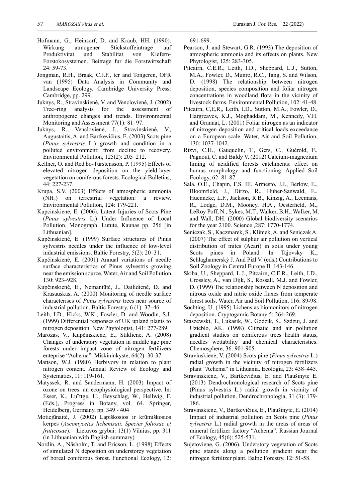- Hofmann, G., Heinsorf, D. and Kraub, HH. (1990). Wirkung atmogener Stickstoffeintrage auf Produktivitat und Stabilitat von Kiefern-Forstokosystemen. Beitrage fur die Forstwirtschaft 24: 59-73.
- Jongman, R.H., Braak, C.J.F., ter and Tongeren, OFR van (1995) Data Analysis in Community and Landscape Ecology. Cambridge University Press: Cambridge, pp. 299.
- Juknys, R., Stravinskienė, V. and Venclovienė, J. (2002) Tree–ring analysis for the assessment of anthropogenic changes and trends. Environmental Monitoring and Assessment 77(1): 81–97.
- Juknys, R., Venclovienė, J., Stravinskienė, V., Augustaitis, A. and Bartkevičius, E. (2003) Scots pine (*Pinus sylvestris* L.) growth and condition in a polluted environment: from decline to recovery. Environmental Pollution, 125(2): 205–212.
- Kellner, O. and Red bo-Turstensson, P. (1995) Effects of elevated nitrogen deposition on the yield-layer vegetation on coniferous forests. Ecological Bulletins, 44: 227-237.
- Krupa, S.V. (2003) Effects of atmospheric ammonia (NH3) on terrestrial vegetation: a review. Environmental Pollution, 124: 179-221.
- Kupcinskiene, E. (2006). Latent Injuries of Scots Pine (*Pinus sylvestris* L.) Under Influence of Local Pollution. Monograph. Lutute, Kaunas pp. 256 [in Lithuanian].
- Kupčinskienė, E. (1999) Surface structures of Pinus sylvestris needles under the influence of low-level industrial emissions. Baltic Forestry, 5(2): 20–31.
- Kupčinskienė, E. (2001) Annual variations of needle surface characteristics of Pinus sylvestris growing near the emission source. Water, Air and Soil Pollution, 130: 923–928.
- Kupčinskienė, E., Nemaniūtė, J., Dailidienė, D. and Krasauskas, A. (2000) Monitoring of needle surface characteriscs of *Pinus sylvestris* trees near source of industrial pollution. Baltic Forestry, 6 (1): 37–46.
- Leith, I.D., Hicks, W.K., Fowler, D. and Woodin, S.J. (1999) Differential responses of UK upland plants to nitrogen deposition. New Phytologist, 141: 277-289.
- Marozas, V., Kupčinskienė, E., Stiklienė, A. (2008) Changes of understory vegetation in middle age pine forests under impact zone of nitrogen fertilizers enteprise "Achema". Miškininkystė, 64(2): 30-37.
- Mattson, W.J. (1980) Herbivory in relation to plant nitrogen content. Annual Review of Ecology and Systematics, 11: 119-161.
- Matyssek, R. and Sandermann, H. (2003) Impact of ozone on trees: an ecophysiological perspective. In: Esser, K., Lu¨ttge, U., Beyschlag, W., Hellwig, F. (Eds.), Progress in Botany, vol. 64. Springer, Heidelberg, Germany, pp. 349 - 404
- Motiejūnaitė, J. (2002) Lapiškosios ir krūmiškosios kerpės (*Ascomycetes lichenisati. Species foliosae et fruticosae*). Lietuvos grybai: 13(1) Vilnius, pp. 311 (in Lithuanian with English summary)
- Nordin, A., Näsholm, T. and Ericson, L. (1998) Effects of simulated N deposition on understorey vegetation of boreal coniferous forest. Functional Ecology, 12:

691-699.

- Pearson, J. and Stewart, G.R. (1993) The deposition of atmospheric ammonia and its effects on plants. New Phytologist, 125: 283-305.
- Pitcairn, C.E.R., Leith, I.D., Sheppard, L.J., Sutton, M.A., Fowler, D., Munro, R.C., Tang, S. and Wilson, D. (1998) The relationship between nitrogen deposition, species composition and foliar nitrogen concentrations in woodland flora in the vicinity of livestock farms. Environmental Pollution, 102: 41-48.
- Pitcairn, C,E,R,, Leith, I.D., Sutton, M.A., Fowler, D., Hargreaves, K.J., Moghaddam, M., Kennedy, V.H. and Grannat, L. (2001) Foliar nitrogen as an indicator of nitrogen deposition and critical loads exceedance on a European scale. Water, Air and Soil Pollution, 130: 1037-1042.
- Rizvi, C.H., Gauquelin, T., Gers, C., Guérold, F., Pagnout, C. and Baldy V. (2012) Calcium-magnezium liming of acidified forests catchments: effect on humus morphology and functioning. Applied Soil Ecology, 62: 81-87.
- Sala, O.E., Chapin, F.S. III, Armesto, J.J., Berlow, E., Bloomfield, J., Dirzo, R., Huber-Sanwald, E., Huenneke, L.F., Jackson, R.B., Kinzig, A., Leemans, R., Lodge, D.M., Mooney, H.A., Oesterheld, M., LeRoy Poff, N., Sykes, M.T., Walker, B.H., Walker, M. and Wall, DH. (2000) Global biodiversity scenarios for the year 2100. Science ,287: 1770-1774.
- Seniczak, S., Kaczmarek, S., Klimek, A. and Seniczak A. (2007) The effect of sulphur air pollution on vertical distribution of mites (Acari) in soils under young Scots pines in Poland. In Tajovsky K., Schlaghamerský J. And Pižl V. (eds.) Contributions to Soil Zoology in Central Europe II. 143-146.
- Skiba, U., Sheppard, L.J., Pitcairn, C.E.R., Leith, I.D., Crossley, A., van Dijk, S., Rossall, M.J. and Fowler, D. (1999) The relationship between N deposition and nitrous oxide and nitric oxide fluxes from temperate forest soils. Water, Air and Soil Pollution, 116: 89-98.
- Søchting, U. (1995) Lichens as biomonitors of nitrogen deposition. Cryptogamic Botany 5: 264-269.
- Staszewski, T., Lukasik, W., Godzik, S., Szdzuj, J. and Uzieblo, AK. (1998) Climatic and air pollution gradient studies on coniferous trees health status, needles wettability and chemical characteristics. Chemosphere, 36: 901-905.
- Stravinskienė, V. (2004) Scots pine (*Pinus sylvestris* L.) radial growth in the vicinity of nitrogen fertilizers plant "Achema" in Lithuania. Ecologia, 23: 438–445.
- Stravinskiene, V., Bartkevičius, E. and Plaušinyte E. (2013) Dendrochronological research of Scots pine (Pinus sylvestris L.) radial growth in vicinity of industrial pollution. Dendrochronologia, 31 (3): 179- 186.
- Stravinskiene, V., Bartkevičius, E., Plaušinyte, E. (2014) Impact of industrial pollution on Scots pine (*Pinus sylvestris* L.) radial growth in the areas of areas of mineral fertilizer factory "Achema". Russian Journal of Ecology, 45(6): 525-531.
- Sujetoviene, G. (2006). Understory vegetation of Scots pine stands along a pollution gradient near the nitrogen fertilizer plant. Baltic Forestry, 12: 51-58.